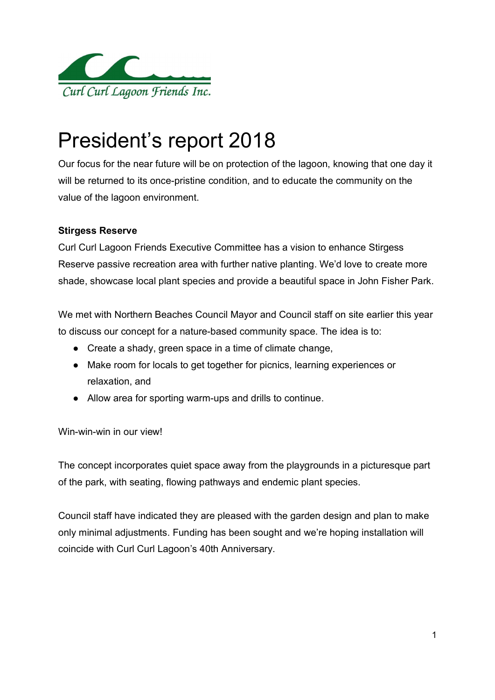

# President's report 2018

Our focus for the near future will be on protection of the lagoon, knowing that one day it will be returned to its once-pristine condition, and to educate the community on the value of the lagoon environment.

# Stirgess Reserve

Curl Curl Lagoon Friends Executive Committee has a vision to enhance Stirgess Reserve passive recreation area with further native planting. We'd love to create more shade, showcase local plant species and provide a beautiful space in John Fisher Park.

We met with Northern Beaches Council Mayor and Council staff on site earlier this year to discuss our concept for a nature-based community space. The idea is to:

- Create a shady, green space in a time of climate change,
- Make room for locals to get together for picnics, learning experiences or relaxation, and
- Allow area for sporting warm-ups and drills to continue.

Win-win-win in our view!

The concept incorporates quiet space away from the playgrounds in a picturesque part of the park, with seating, flowing pathways and endemic plant species.

Council staff have indicated they are pleased with the garden design and plan to make only minimal adjustments. Funding has been sought and we're hoping installation will coincide with Curl Curl Lagoon's 40th Anniversary.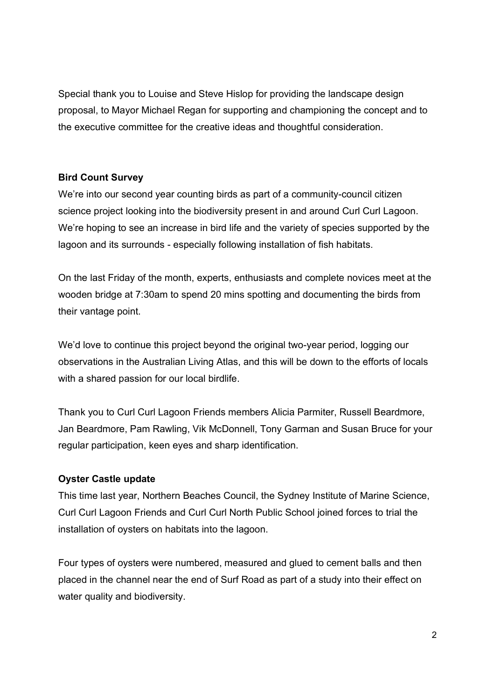Special thank you to Louise and Steve Hislop for providing the landscape design proposal, to Mayor Michael Regan for supporting and championing the concept and to the executive committee for the creative ideas and thoughtful consideration.

## Bird Count Survey

We're into our second year counting birds as part of a community-council citizen science project looking into the biodiversity present in and around Curl Curl Lagoon. We're hoping to see an increase in bird life and the variety of species supported by the lagoon and its surrounds - especially following installation of fish habitats.

On the last Friday of the month, experts, enthusiasts and complete novices meet at the wooden bridge at 7:30am to spend 20 mins spotting and documenting the birds from their vantage point.

We'd love to continue this project beyond the original two-year period, logging our observations in the Australian Living Atlas, and this will be down to the efforts of locals with a shared passion for our local birdlife.

Thank you to Curl Curl Lagoon Friends members Alicia Parmiter, Russell Beardmore, Jan Beardmore, Pam Rawling, Vik McDonnell, Tony Garman and Susan Bruce for your regular participation, keen eyes and sharp identification.

# Oyster Castle update

This time last year, Northern Beaches Council, the Sydney Institute of Marine Science, Curl Curl Lagoon Friends and Curl Curl North Public School joined forces to trial the installation of oysters on habitats into the lagoon.

Four types of oysters were numbered, measured and glued to cement balls and then placed in the channel near the end of Surf Road as part of a study into their effect on water quality and biodiversity.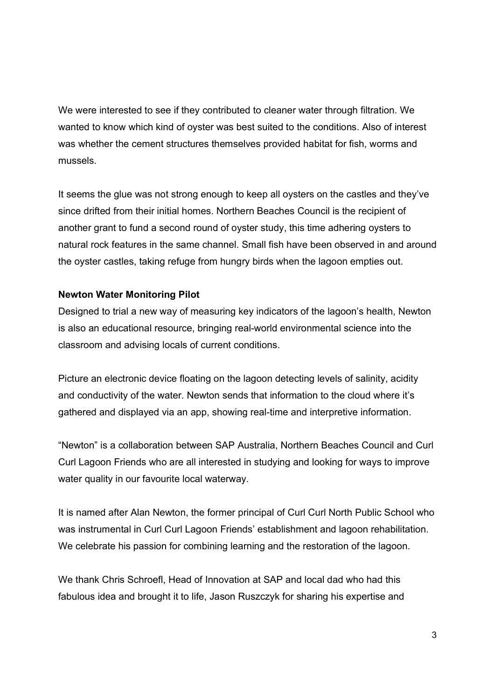We were interested to see if they contributed to cleaner water through filtration. We wanted to know which kind of oyster was best suited to the conditions. Also of interest was whether the cement structures themselves provided habitat for fish, worms and mussels.

It seems the glue was not strong enough to keep all oysters on the castles and they've since drifted from their initial homes. Northern Beaches Council is the recipient of another grant to fund a second round of oyster study, this time adhering oysters to natural rock features in the same channel. Small fish have been observed in and around the oyster castles, taking refuge from hungry birds when the lagoon empties out.

## Newton Water Monitoring Pilot

Designed to trial a new way of measuring key indicators of the lagoon's health, Newton is also an educational resource, bringing real-world environmental science into the classroom and advising locals of current conditions.

Picture an electronic device floating on the lagoon detecting levels of salinity, acidity and conductivity of the water. Newton sends that information to the cloud where it's gathered and displayed via an app, showing real-time and interpretive information.

"Newton" is a collaboration between SAP Australia, Northern Beaches Council and Curl Curl Lagoon Friends who are all interested in studying and looking for ways to improve water quality in our favourite local waterway.

It is named after Alan Newton, the former principal of Curl Curl North Public School who was instrumental in Curl Curl Lagoon Friends' establishment and lagoon rehabilitation. We celebrate his passion for combining learning and the restoration of the lagoon.

We thank Chris Schroefl, Head of Innovation at SAP and local dad who had this fabulous idea and brought it to life, Jason Ruszczyk for sharing his expertise and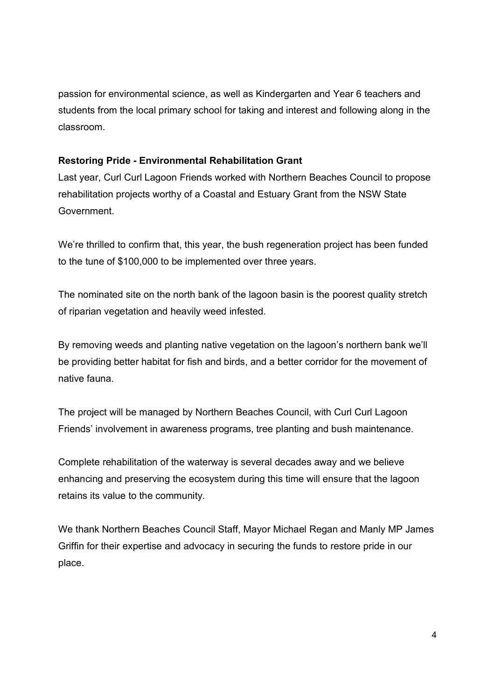passion for environmental science, as well as Kindergarten and Year 6 teachers and students from the local primary school for taking and interest and following along in the classroom.

#### Restoring Pride - Environmental Rehabilitation Grant

Last year, Curl Curl Lagoon Friends worked with Northern Beaches Council to propose rehabilitation projects worthy of a Coastal and Estuary Grant from the NSW State Government.

We're thrilled to confirm that, this year, the bush regeneration project has been funded to the tune of \$100,000 to be implemented over three years.

The nominated site on the north bank of the lagoon basin is the poorest quality stretch of riparian vegetation and heavily weed infested.

By removing weeds and planting native vegetation on the lagoon's northern bank we'll be providing better habitat for fish and birds, and a better corridor for the movement of native fauna.

The project will be managed by Northern Beaches Council, with Curl Curl Lagoon Friends' involvement in awareness programs, tree planting and bush maintenance.

Complete rehabilitation of the waterway is several decades away and we believe enhancing and preserving the ecosystem during this time will ensure that the lagoon retains its value to the community.

We thank Northern Beaches Council Staff, Mayor Michael Regan and Manly MP James Griffin for their expertise and advocacy in securing the funds to restore pride in our place.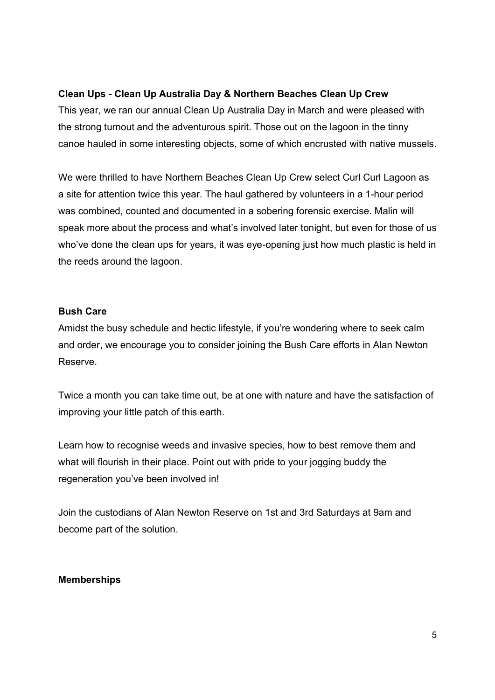## Clean Ups - Clean Up Australia Day & Northern Beaches Clean Up Crew

This year, we ran our annual Clean Up Australia Day in March and were pleased with the strong turnout and the adventurous spirit. Those out on the lagoon in the tinny canoe hauled in some interesting objects, some of which encrusted with native mussels.

We were thrilled to have Northern Beaches Clean Up Crew select Curl Curl Lagoon as a site for attention twice this year. The haul gathered by volunteers in a 1-hour period was combined, counted and documented in a sobering forensic exercise. Malin will speak more about the process and what's involved later tonight, but even for those of us who've done the clean ups for years, it was eye-opening just how much plastic is held in the reeds around the lagoon.

#### Bush Care

Amidst the busy schedule and hectic lifestyle, if you're wondering where to seek calm and order, we encourage you to consider joining the Bush Care efforts in Alan Newton Reserve.

Twice a month you can take time out, be at one with nature and have the satisfaction of improving your little patch of this earth.

Learn how to recognise weeds and invasive species, how to best remove them and what will flourish in their place. Point out with pride to your jogging buddy the regeneration you've been involved in!

Join the custodians of Alan Newton Reserve on 1st and 3rd Saturdays at 9am and become part of the solution.

#### Memberships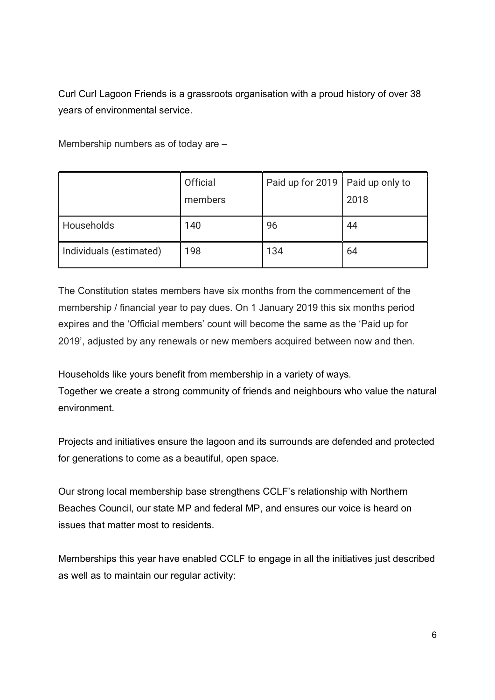Curl Curl Lagoon Friends is a grassroots organisation with a proud history of over 38 years of environmental service.

Membership numbers as of today are –

|                         | Official | Paid up for 2019   Paid up only to |      |
|-------------------------|----------|------------------------------------|------|
|                         | members  |                                    | 2018 |
| Households              | 140      | 96                                 | 44   |
| Individuals (estimated) | 198      | 134                                | 64   |

The Constitution states members have six months from the commencement of the membership / financial year to pay dues. On 1 January 2019 this six months period expires and the 'Official members' count will become the same as the 'Paid up for 2019', adjusted by any renewals or new members acquired between now and then.

Households like yours benefit from membership in a variety of ways. Together we create a strong community of friends and neighbours who value the natural environment.

Projects and initiatives ensure the lagoon and its surrounds are defended and protected for generations to come as a beautiful, open space.

Our strong local membership base strengthens CCLF's relationship with Northern Beaches Council, our state MP and federal MP, and ensures our voice is heard on issues that matter most to residents.

Memberships this year have enabled CCLF to engage in all the initiatives just described as well as to maintain our regular activity: